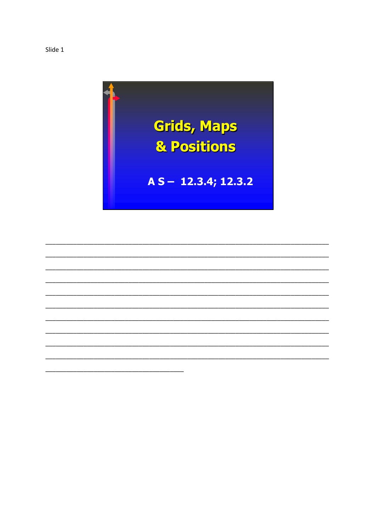

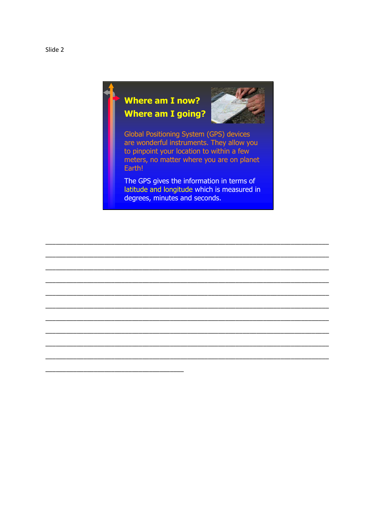

## **Where am I now? Where am I going?**



**Global Positioning System (GPS) devices** are wonderful instruments. They allow you to pinpoint your location to within a few meters, no matter where you are on planet Earth!

The GPS gives the information in terms of latitude and longitude which is measured in degrees, minutes and seconds.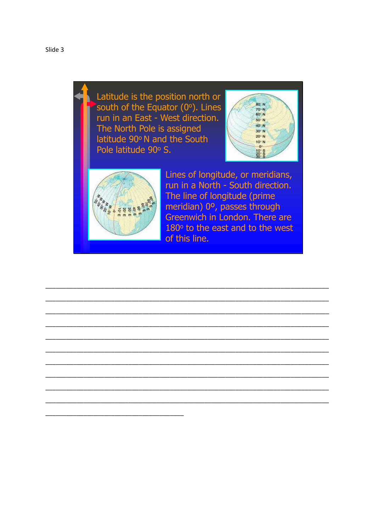Latitude is the position north or south of the Equator (0°). Lines run in an East - West direction. The North Pole is assigned latitude 90° N and the South Pole latitude 90° S.





Lines of longitude, or meridians, run in a North - South direction. The line of longitude (prime meridian) 0°, passes through Greenwich in London. There are 180° to the east and to the west of this line.

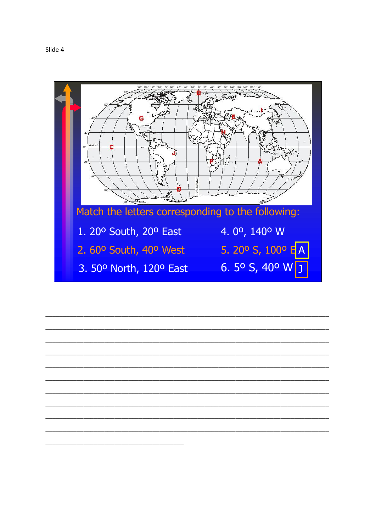

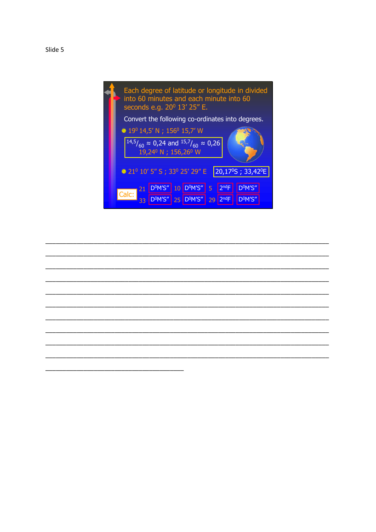



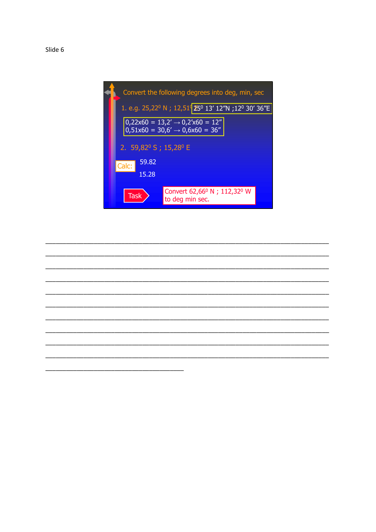

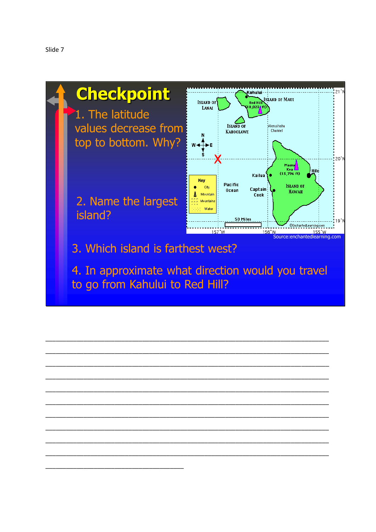



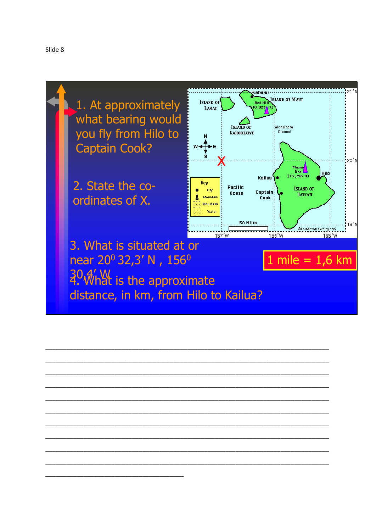



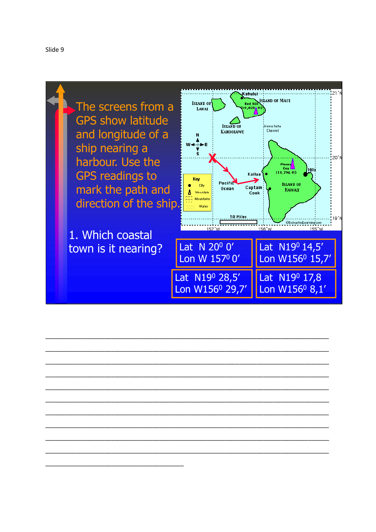



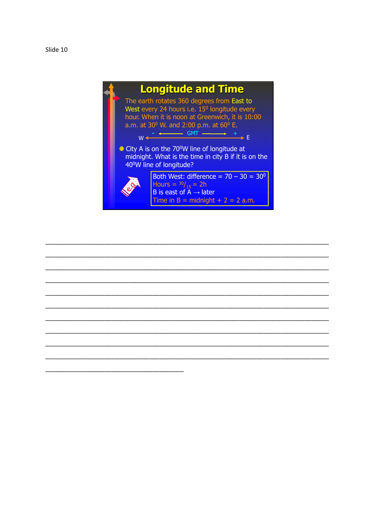

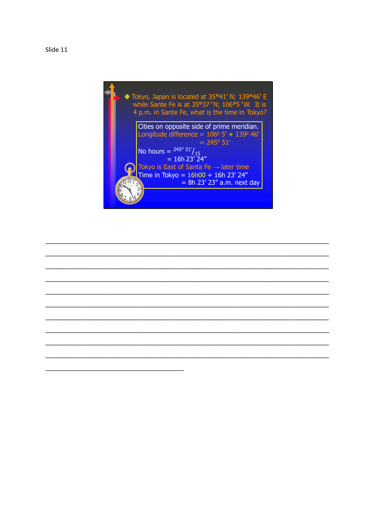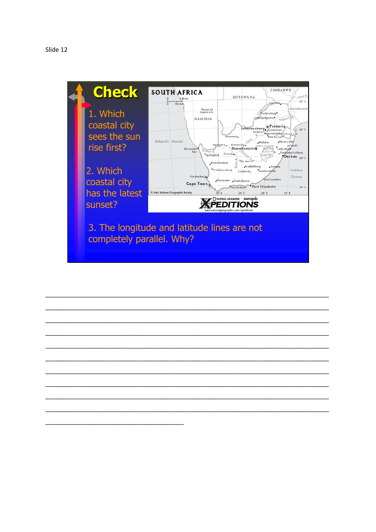